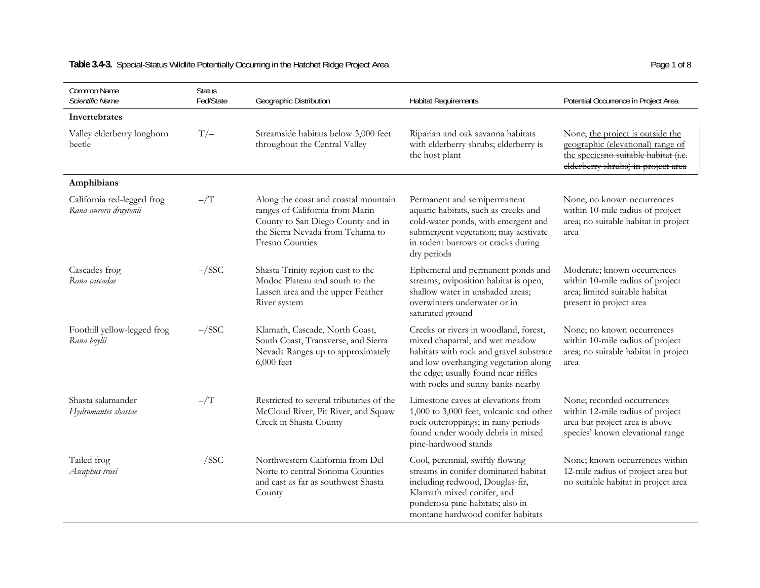| Common Name<br>Scientific Name                      | <b>Status</b><br>Fed/State | Geographic Distribution                                                                                                                                             | <b>Habitat Requirements</b>                                                                                                                                                                                                              | Potential Occurrence in Project Area                                                                                                                |
|-----------------------------------------------------|----------------------------|---------------------------------------------------------------------------------------------------------------------------------------------------------------------|------------------------------------------------------------------------------------------------------------------------------------------------------------------------------------------------------------------------------------------|-----------------------------------------------------------------------------------------------------------------------------------------------------|
| Invertebrates                                       |                            |                                                                                                                                                                     |                                                                                                                                                                                                                                          |                                                                                                                                                     |
| Valley elderberry longhorn<br>beetle                | $T/-$                      | Streamside habitats below 3,000 feet<br>throughout the Central Valley                                                                                               | Riparian and oak savanna habitats<br>with elderberry shrubs; elderberry is<br>the host plant                                                                                                                                             | None; the project is outside the<br>geographic (elevational) range of<br>the speciesno suitable habitat (i.e.<br>elderberry shrubs) in project area |
| Amphibians                                          |                            |                                                                                                                                                                     |                                                                                                                                                                                                                                          |                                                                                                                                                     |
| California red-legged frog<br>Rana aurora draytonii | $-\bigl/\mathrm{T}\bigr)$  | Along the coast and coastal mountain<br>ranges of California from Marin<br>County to San Diego County and in<br>the Sierra Nevada from Tehama to<br>Fresno Counties | Permanent and semipermanent<br>aquatic habitats, such as creeks and<br>cold-water ponds, with emergent and<br>submergent vegetation; may aestivate<br>in rodent burrows or cracks during<br>dry periods                                  | None; no known occurrences<br>within 10-mile radius of project<br>area; no suitable habitat in project<br>area                                      |
| Cascades frog<br>Rana cascadae                      | $-\sqrt{SSC}$              | Shasta-Trinity region east to the<br>Modoc Plateau and south to the<br>Lassen area and the upper Feather<br>River system                                            | Ephemeral and permanent ponds and<br>streams; oviposition habitat is open,<br>shallow water in unshaded areas;<br>overwinters underwater or in<br>saturated ground                                                                       | Moderate; known occurrences<br>within 10-mile radius of project<br>area; limited suitable habitat<br>present in project area                        |
| Foothill yellow-legged frog<br>Rana boylii          | $-\sqrt{SSC}$              | Klamath, Cascade, North Coast,<br>South Coast, Transverse, and Sierra<br>Nevada Ranges up to approximately<br>6,000 feet                                            | Creeks or rivers in woodland, forest,<br>mixed chaparral, and wet meadow<br>habitats with rock and gravel substrate<br>and low overhanging vegetation along<br>the edge; usually found near riffles<br>with rocks and sunny banks nearby | None; no known occurrences<br>within 10-mile radius of project<br>area; no suitable habitat in project<br>area                                      |
| Shasta salamander<br>Hydromantes shastae            | $ /T$                      | Restricted to several tributaries of the<br>McCloud River, Pit River, and Squaw<br>Creek in Shasta County                                                           | Limestone caves at elevations from<br>1,000 to 3,000 feet, volcanic and other<br>rock outcroppings; in rainy periods<br>found under woody debris in mixed<br>pine-hardwood stands                                                        | None; recorded occurrences<br>within 12-mile radius of project<br>area but project area is above<br>species' known elevational range                |
| Tailed frog<br>Ascaphus truei                       | $-\sqrt{SSC}$              | Northwestern California from Del<br>Norte to central Sonoma Counties<br>and east as far as southwest Shasta<br>County                                               | Cool, perennial, swiftly flowing<br>streams in conifer dominated habitat<br>including redwood, Douglas-fir,<br>Klamath mixed conifer, and<br>ponderosa pine habitats; also in<br>montane hardwood conifer habitats                       | None; known occurrences within<br>12-mile radius of project area but<br>no suitable habitat in project area                                         |

# Table 3.4-3. Special-Status Wildlife Potentially Occurring in the Hatchet Ridge Project Area **Page 1 of 8** Page 1 of 8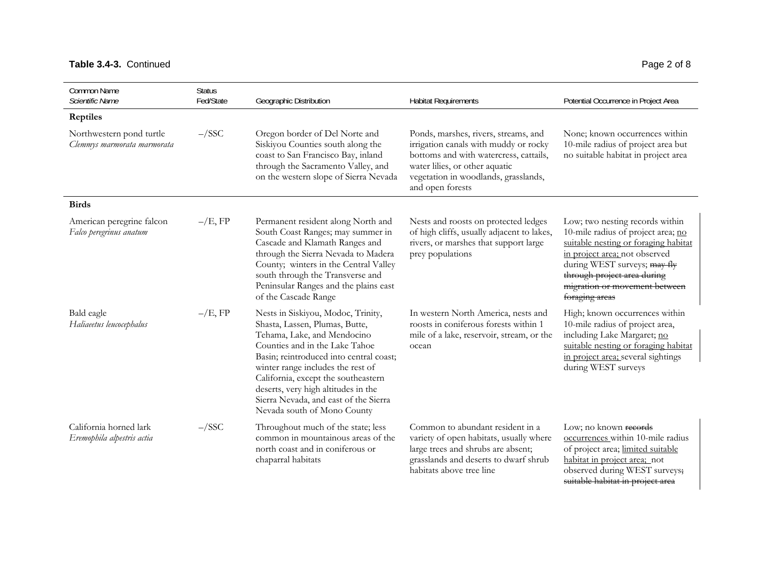## Table 3.4-3. Continued Page 2 of 8

| Common Name<br>Scientific Name                          | <b>Status</b><br>Fed/State | Geographic Distribution                                                                                                                                                                                                                                                                                                                                                     | <b>Habitat Requirements</b>                                                                                                                                                                                           | Potential Occurrence in Project Area                                                                                                                                                                                                                             |
|---------------------------------------------------------|----------------------------|-----------------------------------------------------------------------------------------------------------------------------------------------------------------------------------------------------------------------------------------------------------------------------------------------------------------------------------------------------------------------------|-----------------------------------------------------------------------------------------------------------------------------------------------------------------------------------------------------------------------|------------------------------------------------------------------------------------------------------------------------------------------------------------------------------------------------------------------------------------------------------------------|
| <b>Reptiles</b>                                         |                            |                                                                                                                                                                                                                                                                                                                                                                             |                                                                                                                                                                                                                       |                                                                                                                                                                                                                                                                  |
| Northwestern pond turtle<br>Clemmys marmorata marmorata | $-\sqrt{SSC}$              | Oregon border of Del Norte and<br>Siskiyou Counties south along the<br>coast to San Francisco Bay, inland<br>through the Sacramento Valley, and<br>on the western slope of Sierra Nevada                                                                                                                                                                                    | Ponds, marshes, rivers, streams, and<br>irrigation canals with muddy or rocky<br>bottoms and with watercress, cattails,<br>water lilies, or other aquatic<br>vegetation in woodlands, grasslands,<br>and open forests | None; known occurrences within<br>10-mile radius of project area but<br>no suitable habitat in project area                                                                                                                                                      |
| <b>Birds</b>                                            |                            |                                                                                                                                                                                                                                                                                                                                                                             |                                                                                                                                                                                                                       |                                                                                                                                                                                                                                                                  |
| American peregrine falcon<br>Falco peregrinus anatum    | $-\big/E$ , FP             | Permanent resident along North and<br>South Coast Ranges; may summer in<br>Cascade and Klamath Ranges and<br>through the Sierra Nevada to Madera<br>County; winters in the Central Valley<br>south through the Transverse and<br>Peninsular Ranges and the plains east<br>of the Cascade Range                                                                              | Nests and roosts on protected ledges<br>of high cliffs, usually adjacent to lakes,<br>rivers, or marshes that support large<br>prey populations                                                                       | Low; two nesting records within<br>10-mile radius of project area; no<br>suitable nesting or foraging habitat<br>in project area; not observed<br>during WEST surveys; may fly<br>through project area during<br>migration or movement between<br>foraging areas |
| Bald eagle<br>Haliaeetus leucocephalus                  | $-\big/E$ , FP             | Nests in Siskiyou, Modoc, Trinity,<br>Shasta, Lassen, Plumas, Butte,<br>Tehama, Lake, and Mendocino<br>Counties and in the Lake Tahoe<br>Basin; reintroduced into central coast;<br>winter range includes the rest of<br>California, except the southeastern<br>deserts, very high altitudes in the<br>Sierra Nevada, and east of the Sierra<br>Nevada south of Mono County | In western North America, nests and<br>roosts in coniferous forests within 1<br>mile of a lake, reservoir, stream, or the<br>ocean                                                                                    | High; known occurrences within<br>10-mile radius of project area,<br>including Lake Margaret; no<br>suitable nesting or foraging habitat<br>in project area; several sightings<br>during WEST surveys                                                            |
| California horned lark<br>Eremophila alpestris actia    | $-\sqrt{SSC}$              | Throughout much of the state; less<br>common in mountainous areas of the<br>north coast and in coniferous or<br>chaparral habitats                                                                                                                                                                                                                                          | Common to abundant resident in a<br>variety of open habitats, usually where<br>large trees and shrubs are absent;<br>grasslands and deserts to dwarf shrub<br>habitats above tree line                                | Low; no known records<br>occurrences within 10-mile radius<br>of project area; limited suitable<br>habitat in project area; not<br>observed during WEST surveys;<br>suitable habitat in project area                                                             |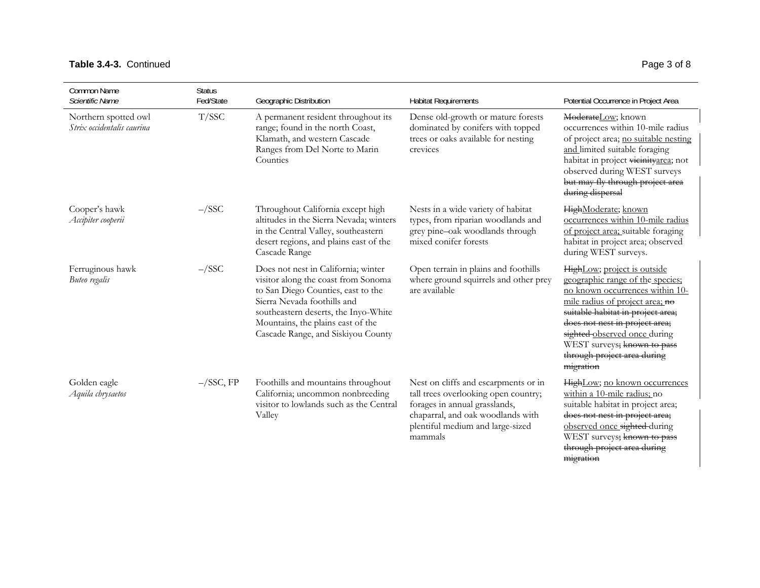## Table 3.4-3. Continued Page 3 of 8

<del>migration</del>

| Common Name<br>Scientific Name                     | <b>Status</b><br>Fed/State | Geographic Distribution                                                                                                                                                                                                                                            | <b>Habitat Requirements</b>                                                                                                                                                                       | Potential Occurrence in Project Area                                                                                                                                                                                                                                                                                    |
|----------------------------------------------------|----------------------------|--------------------------------------------------------------------------------------------------------------------------------------------------------------------------------------------------------------------------------------------------------------------|---------------------------------------------------------------------------------------------------------------------------------------------------------------------------------------------------|-------------------------------------------------------------------------------------------------------------------------------------------------------------------------------------------------------------------------------------------------------------------------------------------------------------------------|
| Northern spotted owl<br>Strix occidentalis caurina | T/SSC                      | A permanent resident throughout its<br>range; found in the north Coast,<br>Klamath, and western Cascade<br>Ranges from Del Norte to Marin<br>Counties                                                                                                              | Dense old-growth or mature forests<br>dominated by conifers with topped<br>trees or oaks available for nesting<br>crevices                                                                        | ModerateLow; known<br>occurrences within 10-mile radius<br>of project area; no suitable nesting<br>and limited suitable foraging<br>habitat in project vicinityarea; not<br>observed during WEST surveys<br>but may fly through project area<br>during dispersal                                                        |
| Cooper's hawk<br>Accipiter cooperii                | $-\sqrt{SSC}$              | Throughout California except high<br>altitudes in the Sierra Nevada; winters<br>in the Central Valley, southeastern<br>desert regions, and plains east of the<br>Cascade Range                                                                                     | Nests in a wide variety of habitat<br>types, from riparian woodlands and<br>grey pine-oak woodlands through<br>mixed conifer forests                                                              | HighModerate; known<br>occurrences within 10-mile radius<br>of project area; suitable foraging<br>habitat in project area; observed<br>during WEST surveys.                                                                                                                                                             |
| Ferruginous hawk<br>Buteo regalis                  | $-\sqrt{SSC}$              | Does not nest in California; winter<br>visitor along the coast from Sonoma<br>to San Diego Counties, east to the<br>Sierra Nevada foothills and<br>southeastern deserts, the Inyo-White<br>Mountains, the plains east of the<br>Cascade Range, and Siskiyou County | Open terrain in plains and foothills<br>where ground squirrels and other prey<br>are available                                                                                                    | HighLow; project is outside<br>geographic range of the species:<br>no known occurrences within 10-<br>mile radius of project area; no<br>suitable habitat in project area;<br>does not nest in project area;<br>sighted observed once during<br>WEST surveys; known to pass<br>through project area during<br>migration |
| Golden eagle<br>Aquila chrysaetos                  | $-\sqrt{SSC}$ , FP         | Foothills and mountains throughout<br>California; uncommon nonbreeding<br>visitor to lowlands such as the Central<br>Valley                                                                                                                                        | Nest on cliffs and escarpments or in<br>tall trees overlooking open country;<br>forages in annual grasslands,<br>chaparral, and oak woodlands with<br>plentiful medium and large-sized<br>mammals | HighLow; no known occurrences<br>within a 10-mile radius; no<br>suitable habitat in project area;<br>does not nest in project area;<br>observed once sighted during<br>WEST surveys; known to pass<br>through project area during                                                                                       |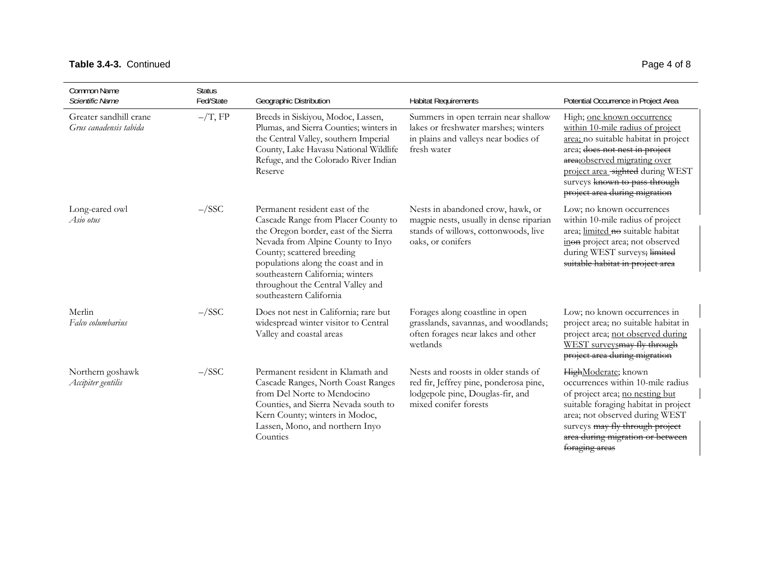## Table 3.4-3. Continued Page 4 of 8

| <b>Common Name</b><br>Scientific Name            | <b>Status</b><br>Fed/State | Geographic Distribution                                                                                                                                                                                                                                                                                                     | <b>Habitat Requirements</b>                                                                                                                | Potential Occurrence in Project Area                                                                                                                                                                                                                                            |
|--------------------------------------------------|----------------------------|-----------------------------------------------------------------------------------------------------------------------------------------------------------------------------------------------------------------------------------------------------------------------------------------------------------------------------|--------------------------------------------------------------------------------------------------------------------------------------------|---------------------------------------------------------------------------------------------------------------------------------------------------------------------------------------------------------------------------------------------------------------------------------|
| Greater sandhill crane<br>Grus canadensis tabida | $-\text{T}$ , FP           | Breeds in Siskiyou, Modoc, Lassen,<br>Plumas, and Sierra Counties; winters in<br>the Central Valley, southern Imperial<br>County, Lake Havasu National Wildlife<br>Refuge, and the Colorado River Indian<br>Reserve                                                                                                         | Summers in open terrain near shallow<br>lakes or freshwater marshes; winters<br>in plains and valleys near bodies of<br>fresh water        | High; one known occurrence<br>within 10-mile radius of project<br>area; no suitable habitat in project<br>area; does not nest in project<br>area; observed migrating over<br>project area_sighted during WEST<br>surveys known to pass through<br>project area during migration |
| Long-eared owl<br>Asio otus                      | $-\sqrt{SSC}$              | Permanent resident east of the<br>Cascade Range from Placer County to<br>the Oregon border, east of the Sierra<br>Nevada from Alpine County to Inyo<br>County; scattered breeding<br>populations along the coast and in<br>southeastern California; winters<br>throughout the Central Valley and<br>southeastern California | Nests in abandoned crow, hawk, or<br>magpie nests, usually in dense riparian<br>stands of willows, cottonwoods, live<br>oaks, or conifers  | Low; no known occurrences<br>within 10-mile radius of project<br>area; limited no suitable habitat<br>inon project area; not observed<br>during WEST surveys; limited<br>suitable habitat in project area                                                                       |
| Merlin<br>Falco columbarius                      | $-\sqrt{SSC}$              | Does not nest in California; rare but<br>widespread winter visitor to Central<br>Valley and coastal areas                                                                                                                                                                                                                   | Forages along coastline in open<br>grasslands, savannas, and woodlands;<br>often forages near lakes and other<br>wetlands                  | Low; no known occurrences in<br>project area; no suitable habitat in<br>project area; not observed during<br>WEST surveysmay fly through<br>project area during migration                                                                                                       |
| Northern goshawk<br>Accipiter gentilis           | $-\sqrt{SSC}$              | Permanent resident in Klamath and<br>Cascade Ranges, North Coast Ranges<br>from Del Norte to Mendocino<br>Counties, and Sierra Nevada south to<br>Kern County; winters in Modoc,<br>Lassen, Mono, and northern Inyo<br>Counties                                                                                             | Nests and roosts in older stands of<br>red fir, Jeffrey pine, ponderosa pine,<br>lodgepole pine, Douglas-fir, and<br>mixed conifer forests | HighModerate; known<br>occurrences within 10-mile radius<br>of project area; no nesting but<br>suitable foraging habitat in project<br>area; not observed during WEST<br>surveys may fly through project<br>area during migration or between<br>foraging areas                  |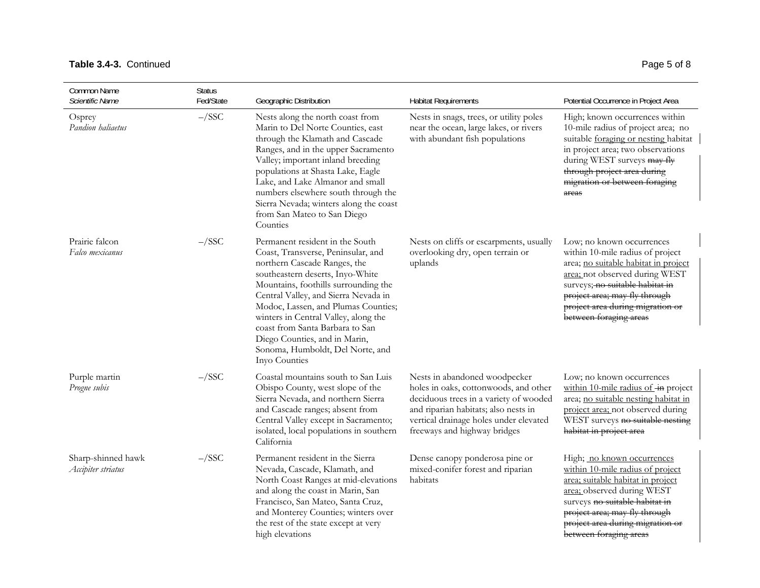## Table 3.4-3. Continued Page 5 of 8

| Common Name<br>Scientific Name           | <b>Status</b><br>Fed/State | Geographic Distribution                                                                                                                                                                                                                                                                                                                                                                                                           | <b>Habitat Requirements</b>                                                                                                                                                                                                        | Potential Occurrence in Project Area                                                                                                                                                                                                                                      |
|------------------------------------------|----------------------------|-----------------------------------------------------------------------------------------------------------------------------------------------------------------------------------------------------------------------------------------------------------------------------------------------------------------------------------------------------------------------------------------------------------------------------------|------------------------------------------------------------------------------------------------------------------------------------------------------------------------------------------------------------------------------------|---------------------------------------------------------------------------------------------------------------------------------------------------------------------------------------------------------------------------------------------------------------------------|
| Osprey<br>Pandion haliaetus              | $-\sqrt{SSC}$              | Nests along the north coast from<br>Marin to Del Norte Counties, east<br>through the Klamath and Cascade<br>Ranges, and in the upper Sacramento<br>Valley; important inland breeding<br>populations at Shasta Lake, Eagle<br>Lake, and Lake Almanor and small<br>numbers elsewhere south through the<br>Sierra Nevada; winters along the coast<br>from San Mateo to San Diego<br>Counties                                         | Nests in snags, trees, or utility poles<br>near the ocean, large lakes, or rivers<br>with abundant fish populations                                                                                                                | High; known occurrences within<br>10-mile radius of project area; no<br>suitable foraging or nesting habitat<br>in project area; two observations<br>during WEST surveys may fly<br>through project area during<br>migration or between foraging<br>areas                 |
| Prairie falcon<br>Falco mexicanus        | $-\sqrt{SSC}$              | Permanent resident in the South<br>Coast, Transverse, Peninsular, and<br>northern Cascade Ranges, the<br>southeastern deserts, Inyo-White<br>Mountains, foothills surrounding the<br>Central Valley, and Sierra Nevada in<br>Modoc, Lassen, and Plumas Counties;<br>winters in Central Valley, along the<br>coast from Santa Barbara to San<br>Diego Counties, and in Marin,<br>Sonoma, Humboldt, Del Norte, and<br>Inyo Counties | Nests on cliffs or escarpments, usually<br>overlooking dry, open terrain or<br>uplands                                                                                                                                             | Low; no known occurrences<br>within 10-mile radius of project<br>area; no suitable habitat in project<br>area; not observed during WEST<br>surveys; no suitable habitat in<br>project area; may fly through<br>project area during migration or<br>between foraging areas |
| Purple martin<br>Progne subis            | $-\sqrt{SSC}$              | Coastal mountains south to San Luis<br>Obispo County, west slope of the<br>Sierra Nevada, and northern Sierra<br>and Cascade ranges; absent from<br>Central Valley except in Sacramento;<br>isolated, local populations in southern<br>California                                                                                                                                                                                 | Nests in abandoned woodpecker<br>holes in oaks, cottonwoods, and other<br>deciduous trees in a variety of wooded<br>and riparian habitats; also nests in<br>vertical drainage holes under elevated<br>freeways and highway bridges | Low; no known occurrences<br>within 10-mile radius of in project<br>area; no suitable nesting habitat in<br>project area; not observed during<br>WEST surveys no suitable nesting<br>habitat in project area                                                              |
| Sharp-shinned hawk<br>Accipiter striatus | $-\sqrt{SSC}$              | Permanent resident in the Sierra<br>Nevada, Cascade, Klamath, and<br>North Coast Ranges at mid-elevations<br>and along the coast in Marin, San<br>Francisco, San Mateo, Santa Cruz,<br>and Monterey Counties; winters over<br>the rest of the state except at very<br>high elevations                                                                                                                                             | Dense canopy ponderosa pine or<br>mixed-conifer forest and riparian<br>habitats                                                                                                                                                    | High; no known occurrences<br>within 10-mile radius of project<br>area; suitable habitat in project<br>area; observed during WEST<br>surveys no suitable habitat in<br>project area; may fly through<br>project area during migration or<br>between foraging areas        |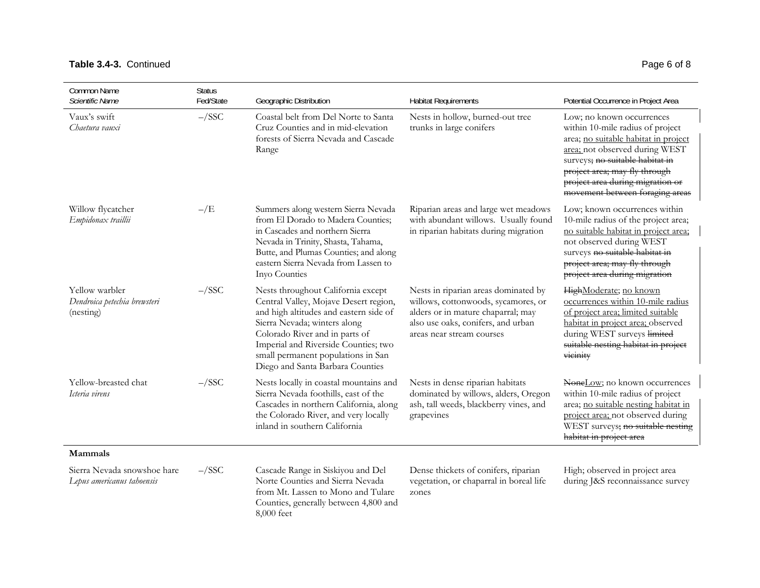## Table 3.4-3. Continued **Page 6 of 8**

| Common Name<br>Scientific Name                              | <b>Status</b><br>Fed/State | Geographic Distribution                                                                                                                                                                                                                                                                                   | <b>Habitat Requirements</b>                                                                                                                                                          | Potential Occurrence in Project Area                                                                                                                                                                                                                                               |
|-------------------------------------------------------------|----------------------------|-----------------------------------------------------------------------------------------------------------------------------------------------------------------------------------------------------------------------------------------------------------------------------------------------------------|--------------------------------------------------------------------------------------------------------------------------------------------------------------------------------------|------------------------------------------------------------------------------------------------------------------------------------------------------------------------------------------------------------------------------------------------------------------------------------|
| Vaux's swift<br>Chaetura vauxi                              | $-\sqrt{SSC}$              | Coastal belt from Del Norte to Santa<br>Cruz Counties and in mid-elevation<br>forests of Sierra Nevada and Cascade<br>Range                                                                                                                                                                               | Nests in hollow, burned-out tree<br>trunks in large conifers                                                                                                                         | Low; no known occurrences<br>within 10-mile radius of project<br>area; no suitable habitat in project<br>area; not observed during WEST<br>surveys; no suitable habitat in<br>project area; may fly through<br>project area during migration or<br>movement between foraging areas |
| Willow flycatcher<br>Empidonax traillii                     | $-\sqrt{E}$                | Summers along western Sierra Nevada<br>from El Dorado to Madera Counties;<br>in Cascades and northern Sierra<br>Nevada in Trinity, Shasta, Tahama,<br>Butte, and Plumas Counties; and along<br>eastern Sierra Nevada from Lassen to<br>Inyo Counties                                                      | Riparian areas and large wet meadows<br>with abundant willows. Usually found<br>in riparian habitats during migration                                                                | Low; known occurrences within<br>10-mile radius of the project area;<br>no suitable habitat in project area;<br>not observed during WEST<br>surveys no suitable habitat in<br>project area; may fly through<br>project area during migration                                       |
| Yellow warbler<br>Dendroica petechia brewsteri<br>(nesting) | $-\sqrt{SSC}$              | Nests throughout California except<br>Central Valley, Mojave Desert region,<br>and high altitudes and eastern side of<br>Sierra Nevada; winters along<br>Colorado River and in parts of<br>Imperial and Riverside Counties; two<br>small permanent populations in San<br>Diego and Santa Barbara Counties | Nests in riparian areas dominated by<br>willows, cottonwoods, sycamores, or<br>alders or in mature chaparral; may<br>also use oaks, conifers, and urban<br>areas near stream courses | HighModerate; no known<br>occurrences within 10-mile radius<br>of project area; limited suitable<br>habitat in project area; observed<br>during WEST surveys limited<br>suitable nesting habitat in project<br>vicinity                                                            |
| Yellow-breasted chat<br>Icteria virens                      | $-\sqrt{SSC}$              | Nests locally in coastal mountains and<br>Sierra Nevada foothills, east of the<br>Cascades in northern California, along<br>the Colorado River, and very locally<br>inland in southern California                                                                                                         | Nests in dense riparian habitats<br>dominated by willows, alders, Oregon<br>ash, tall weeds, blackberry vines, and<br>grapevines                                                     | NoneLow; no known occurrences<br>within 10-mile radius of project<br>area; no suitable nesting habitat in<br>project area; not observed during<br>WEST surveys; no suitable nesting<br>habitat in project area                                                                     |
| Mammals                                                     |                            |                                                                                                                                                                                                                                                                                                           |                                                                                                                                                                                      |                                                                                                                                                                                                                                                                                    |
| Sierra Nevada snowshoe hare<br>Lepus americanus tahoensis   | $-\sqrt{SSC}$              | Cascade Range in Siskiyou and Del<br>Norte Counties and Sierra Nevada<br>from Mt. Lassen to Mono and Tulare<br>Counties, generally between 4,800 and<br>8,000 feet                                                                                                                                        | Dense thickets of conifers, riparian<br>vegetation, or chaparral in boreal life<br>zones                                                                                             | High; observed in project area<br>during J&S reconnaissance survey                                                                                                                                                                                                                 |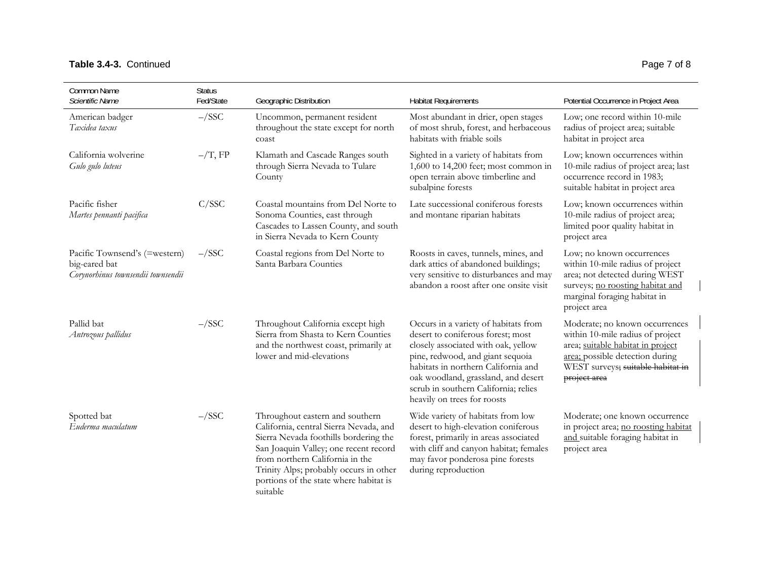## Table 3.4-3. Continued Page 7 of 8

| Common Name<br>Scientific Name                                                       | <b>Status</b><br>Fed/State | Geographic Distribution                                                                                                                                                                                                                                                                        | <b>Habitat Requirements</b>                                                                                                                                                                                                                                                                               | Potential Occurrence in Project Area                                                                                                                                                            |
|--------------------------------------------------------------------------------------|----------------------------|------------------------------------------------------------------------------------------------------------------------------------------------------------------------------------------------------------------------------------------------------------------------------------------------|-----------------------------------------------------------------------------------------------------------------------------------------------------------------------------------------------------------------------------------------------------------------------------------------------------------|-------------------------------------------------------------------------------------------------------------------------------------------------------------------------------------------------|
| American badger<br>Taxidea taxus                                                     | $-\sqrt{SSC}$              | Uncommon, permanent resident<br>throughout the state except for north<br>coast                                                                                                                                                                                                                 | Most abundant in drier, open stages<br>of most shrub, forest, and herbaceous<br>habitats with friable soils                                                                                                                                                                                               | Low; one record within 10-mile<br>radius of project area; suitable<br>habitat in project area                                                                                                   |
| California wolverine<br>Gulo gulo luteus                                             | $-\big/T$ , FP             | Klamath and Cascade Ranges south<br>through Sierra Nevada to Tulare<br>County                                                                                                                                                                                                                  | Sighted in a variety of habitats from<br>1,600 to 14,200 feet; most common in<br>open terrain above timberline and<br>subalpine forests                                                                                                                                                                   | Low; known occurrences within<br>10-mile radius of project area; last<br>occurrence record in 1983;<br>suitable habitat in project area                                                         |
| Pacific fisher<br>Martes pennanti pacifica                                           | C/SSC                      | Coastal mountains from Del Norte to<br>Sonoma Counties, east through<br>Cascades to Lassen County, and south<br>in Sierra Nevada to Kern County                                                                                                                                                | Late successional coniferous forests<br>and montane riparian habitats                                                                                                                                                                                                                                     | Low; known occurrences within<br>10-mile radius of project area;<br>limited poor quality habitat in<br>project area                                                                             |
| Pacific Townsend's (=western)<br>big-eared bat<br>Corynorhinus townsendii townsendii | $-\sqrt{SSC}$              | Coastal regions from Del Norte to<br>Santa Barbara Counties                                                                                                                                                                                                                                    | Roosts in caves, tunnels, mines, and<br>dark attics of abandoned buildings;<br>very sensitive to disturbances and may<br>abandon a roost after one onsite visit                                                                                                                                           | Low; no known occurrences<br>within 10-mile radius of project<br>area; not detected during WEST<br>surveys; no roosting habitat and<br>marginal foraging habitat in<br>project area             |
| Pallid bat<br>Antrozous pallidus                                                     | $-\sqrt{SSC}$              | Throughout California except high<br>Sierra from Shasta to Kern Counties<br>and the northwest coast, primarily at<br>lower and mid-elevations                                                                                                                                                  | Occurs in a variety of habitats from<br>desert to coniferous forest; most<br>closely associated with oak, yellow<br>pine, redwood, and giant sequoia<br>habitats in northern California and<br>oak woodland, grassland, and desert<br>scrub in southern California; relies<br>heavily on trees for roosts | Moderate; no known occurrences<br>within 10-mile radius of project<br>area; suitable habitat in project<br>area; possible detection during<br>WEST surveys; suitable habitat in<br>project area |
| Spotted bat<br>Euderma maculatum                                                     | $-\sqrt{SSC}$              | Throughout eastern and southern<br>California, central Sierra Nevada, and<br>Sierra Nevada foothills bordering the<br>San Joaquin Valley; one recent record<br>from northern California in the<br>Trinity Alps; probably occurs in other<br>portions of the state where habitat is<br>suitable | Wide variety of habitats from low<br>desert to high-elevation coniferous<br>forest, primarily in areas associated<br>with cliff and canyon habitat; females<br>may favor ponderosa pine forests<br>during reproduction                                                                                    | Moderate; one known occurrence<br>in project area; no roosting habitat<br>and suitable foraging habitat in<br>project area                                                                      |